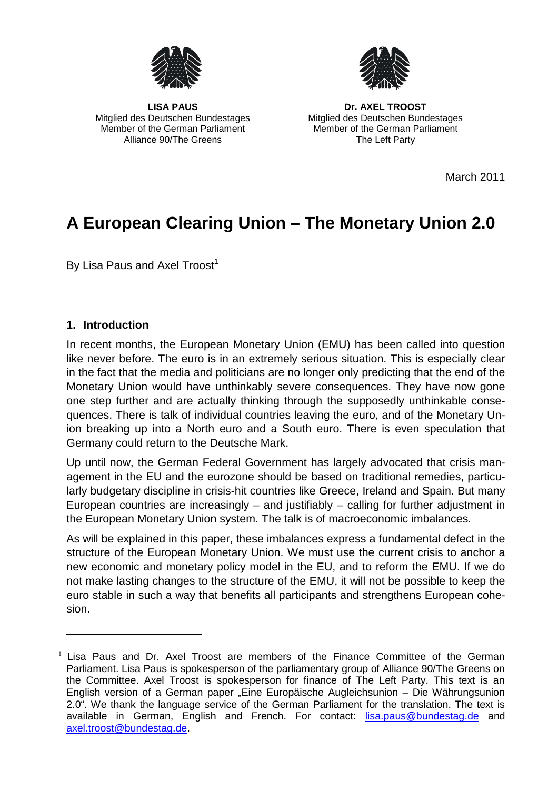



Alliance 90/The Greens The Left Party

LISA PAUS **DR. AXEL TROOST** Mitglied des Deutschen Bundestages Mitglied des Deutschen Bundestages Member of the German Parliament Member of the German Parliament

March 2011

# **A European Clearing Union – The Monetary Union 2.0**

By Lisa Paus and Axel Troost<sup>[1](#page-0-0)</sup>

## **1. Introduction**

In recent months, the European Monetary Union (EMU) has been called into question like never before. The euro is in an extremely serious situation. This is especially clear in the fact that the media and politicians are no longer only predicting that the end of the Monetary Union would have unthinkably severe consequences. They have now gone one step further and are actually thinking through the supposedly unthinkable consequences. There is talk of individual countries leaving the euro, and of the Monetary Union breaking up into a North euro and a South euro. There is even speculation that Germany could return to the Deutsche Mark.

Up until now, the German Federal Government has largely advocated that crisis management in the EU and the eurozone should be based on traditional remedies, particularly budgetary discipline in crisis-hit countries like Greece, Ireland and Spain. But many European countries are increasingly – and justifiably – calling for further adjustment in the European Monetary Union system. The talk is of macroeconomic imbalances.

As will be explained in this paper, these imbalances express a fundamental defect in the structure of the European Monetary Union. We must use the current crisis to anchor a new economic and monetary policy model in the EU, and to reform the EMU. If we do not make lasting changes to the structure of the EMU, it will not be possible to keep the euro stable in such a way that benefits all participants and strengthens European cohesion.

<span id="page-0-0"></span>Lisa Paus and Dr. Axel Troost are members of the Finance Committee of the German Parliament. Lisa Paus is spokesperson of the parliamentary group of Alliance 90/The Greens on the Committee. Axel Troost is spokesperson for finance of The Left Party. This text is an English version of a German paper "Eine Europäische Augleichsunion – Die Währungsunion 2.0". We thank the language service of the German Parliament for the translation. The text is available in German, English and French. For contact: lisa.paus@bundestag.de and axel.troost@bundestag.de.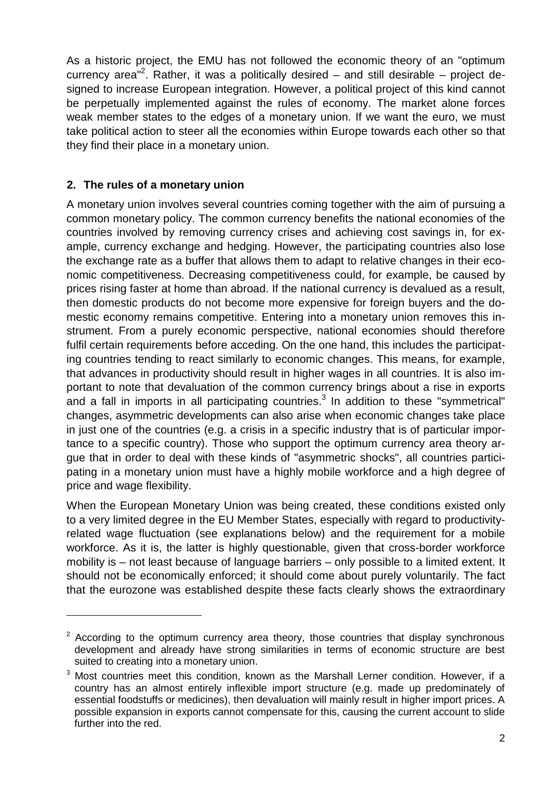As a historic project, the EMU has not followed the economic theory of an "optimum currency area"<sup>2</sup>[.](#page-1-0) Rather, it was a politically desired – and still desirable – project designed to increase European integration. However, a political project of this kind cannot be perpetually implemented against the rules of economy. The market alone forces weak member states to the edges of a monetary union. If we want the euro, we must take political action to steer all the economies within Europe towards each other so that they find their place in a monetary union.

## **2. The rules of a monetary union**

A monetary union involves several countries coming together with the aim of pursuing a common monetary policy. The common currency benefits the national economies of the countries involved by removing currency crises and achieving cost savings in, for example, currency exchange and hedging. However, the participating countries also lose the exchange rate as a buffer that allows them to adapt to relative changes in their economic competitiveness. Decreasing competitiveness could, for example, be caused by prices rising faster at home than abroad. If the national currency is devalued as a result, then domestic products do not become more expensive for foreign buyers and the domestic economy remains competitive. Entering into a monetary union removes this instrument. From a purely economic perspective, national economies should therefore fulfil certain requirements before acceding. On the one hand, this includes the participating countries tending to react similarly to economic changes. This means, for example, that advances in productivity should result in higher wages in all countries. It is also important to note that devaluation of the common currency brings about a rise in exports and a fall in imports in all participating countries.<sup>[3](#page-1-1)</sup> In addition to these "symmetrical" changes, asymmetric developments can also arise when economic changes take place in just one of the countries (e.g. a crisis in a specific industry that is of particular importance to a specific country). Those who support the optimum currency area theory argue that in order to deal with these kinds of "asymmetric shocks", all countries participating in a monetary union must have a highly mobile workforce and a high degree of price and wage flexibility.

When the European Monetary Union was being created, these conditions existed only to a very limited degree in the EU Member States, especially with regard to productivityrelated wage fluctuation (see explanations below) and the requirement for a mobile workforce. As it is, the latter is highly questionable, given that cross-border workforce mobility is – not least because of language barriers – only possible to a limited extent. It should not be economically enforced; it should come about purely voluntarily. The fact that the eurozone was established despite these facts clearly shows the extraordinary

<span id="page-1-0"></span> $2$  According to the optimum currency area theory, those countries that display synchronous development and already have strong similarities in terms of economic structure are best suited to creating into a monetary union.

<span id="page-1-1"></span> $3$  Most countries meet this condition, known as the Marshall Lerner condition. However, if a country has an almost entirely inflexible import structure (e.g. made up predominately of essential foodstuffs or medicines), then devaluation will mainly result in higher import prices. A possible expansion in exports cannot compensate for this, causing the current account to slide further into the red.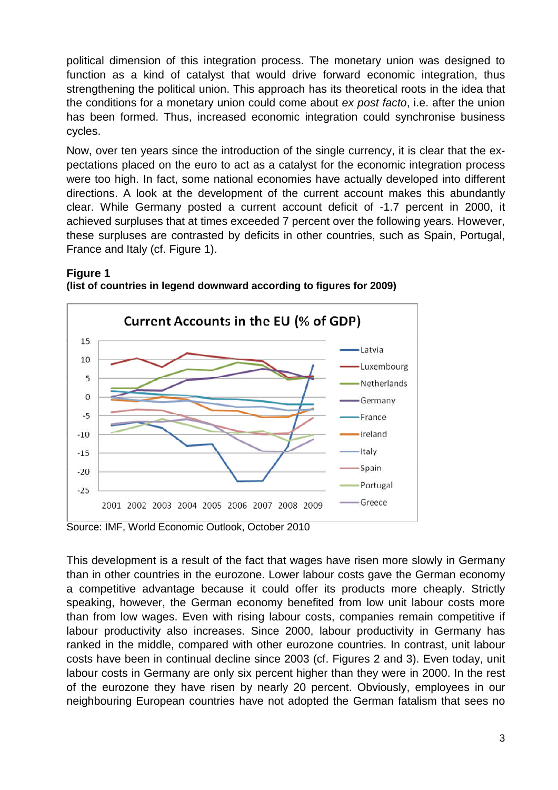political dimension of this integration process. The monetary union was designed to function as a kind of catalyst that would drive forward economic integration, thus strengthening the political union. This approach has its theoretical roots in the idea that the conditions for a monetary union could come about *ex post facto*, i.e. after the union has been formed. Thus, increased economic integration could synchronise business cycles.

Now, over ten years since the introduction of the single currency, it is clear that the expectations placed on the euro to act as a catalyst for the economic integration process were too high. In fact, some national economies have actually developed into different directions. A look at the development of the current account makes this abundantly clear. While Germany posted a current account deficit of -1.7 percent in 2000, it achieved surpluses that at times exceeded 7 percent over the following years. However, these surpluses are contrasted by deficits in other countries, such as Spain, Portugal, France and Italy (cf. Figure 1).



### **Figure 1 (list of countries in legend downward according to figures for 2009)**

This development is a result of the fact that wages have risen more slowly in Germany than in other countries in the eurozone. Lower labour costs gave the German economy a competitive advantage because it could offer its products more cheaply. Strictly speaking, however, the German economy benefited from low unit labour costs more than from low wages. Even with rising labour costs, companies remain competitive if labour productivity also increases. Since 2000, labour productivity in Germany has ranked in the middle, compared with other eurozone countries. In contrast, unit labour costs have been in continual decline since 2003 (cf. Figures 2 and 3). Even today, unit labour costs in Germany are only six percent higher than they were in 2000. In the rest of the eurozone they have risen by nearly 20 percent. Obviously, employees in our neighbouring European countries have not adopted the German fatalism that sees no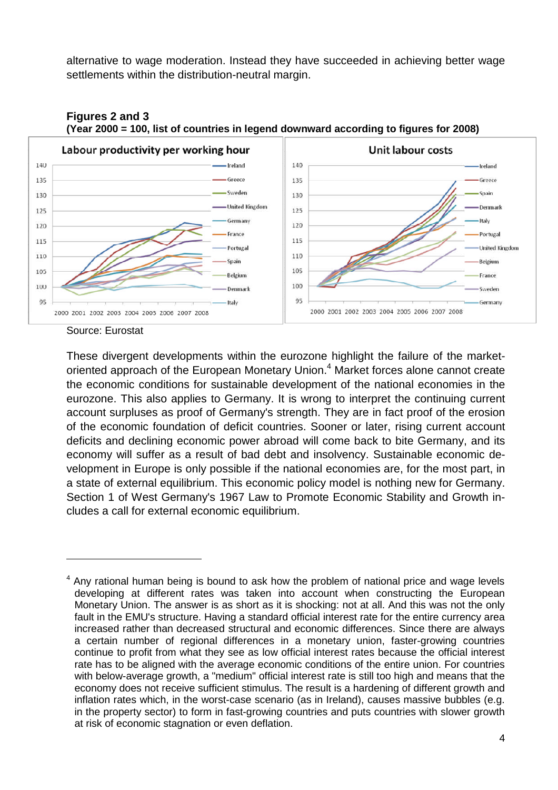alternative to wage moderation. Instead they have succeeded in achieving better wage settlements within the distribution-neutral margin.



**Figures 2 and 3 (Year 2000 = 100, list of countries in legend downward according to figures for 2008)**

Source: Eurostat

These divergent developments within the eurozone highlight the failure of the market-oriented approach of the European Monetary Union.<sup>[4](#page-3-0)</sup> Market forces alone cannot create the economic conditions for sustainable development of the national economies in the eurozone. This also applies to Germany. It is wrong to interpret the continuing current account surpluses as proof of Germany's strength. They are in fact proof of the erosion of the economic foundation of deficit countries. Sooner or later, rising current account deficits and declining economic power abroad will come back to bite Germany, and its economy will suffer as a result of bad debt and insolvency. Sustainable economic development in Europe is only possible if the national economies are, for the most part, in a state of external equilibrium. This economic policy model is nothing new for Germany. Section 1 of West Germany's 1967 Law to Promote Economic Stability and Growth includes a call for external economic equilibrium.

<span id="page-3-0"></span> $<sup>4</sup>$  Any rational human being is bound to ask how the problem of national price and wage levels</sup> developing at different rates was taken into account when constructing the European Monetary Union. The answer is as short as it is shocking: not at all. And this was not the only fault in the EMU's structure. Having a standard official interest rate for the entire currency area increased rather than decreased structural and economic differences. Since there are always a certain number of regional differences in a monetary union, faster-growing countries continue to profit from what they see as low official interest rates because the official interest rate has to be aligned with the average economic conditions of the entire union. For countries with below-average growth, a "medium" official interest rate is still too high and means that the economy does not receive sufficient stimulus. The result is a hardening of different growth and inflation rates which, in the worst-case scenario (as in Ireland), causes massive bubbles (e.g. in the property sector) to form in fast-growing countries and puts countries with slower growth at risk of economic stagnation or even deflation.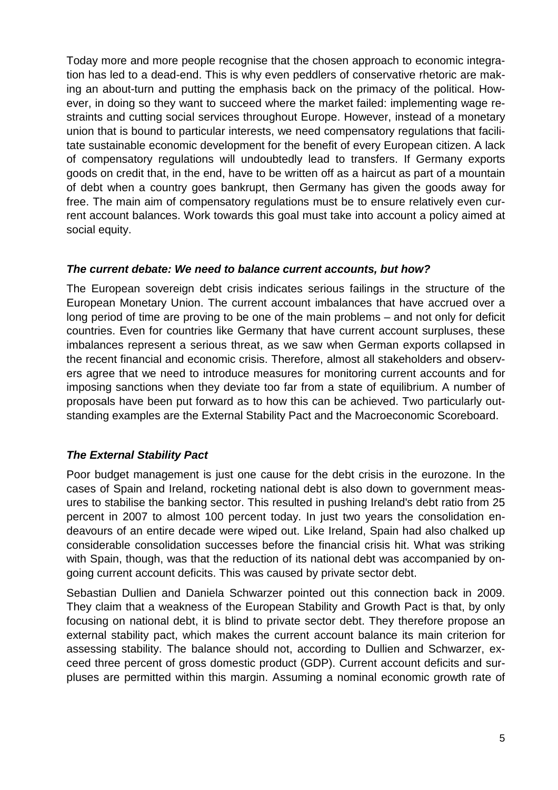Today more and more people recognise that the chosen approach to economic integration has led to a dead-end. This is why even peddlers of conservative rhetoric are making an about-turn and putting the emphasis back on the primacy of the political. However, in doing so they want to succeed where the market failed: implementing wage restraints and cutting social services throughout Europe. However, instead of a monetary union that is bound to particular interests, we need compensatory regulations that facilitate sustainable economic development for the benefit of every European citizen. A lack of compensatory regulations will undoubtedly lead to transfers. If Germany exports goods on credit that, in the end, have to be written off as a haircut as part of a mountain of debt when a country goes bankrupt, then Germany has given the goods away for free. The main aim of compensatory regulations must be to ensure relatively even current account balances. Work towards this goal must take into account a policy aimed at social equity.

## *The current debate: We need to balance current accounts, but how?*

The European sovereign debt crisis indicates serious failings in the structure of the European Monetary Union. The current account imbalances that have accrued over a long period of time are proving to be one of the main problems – and not only for deficit countries. Even for countries like Germany that have current account surpluses, these imbalances represent a serious threat, as we saw when German exports collapsed in the recent financial and economic crisis. Therefore, almost all stakeholders and observers agree that we need to introduce measures for monitoring current accounts and for imposing sanctions when they deviate too far from a state of equilibrium. A number of proposals have been put forward as to how this can be achieved. Two particularly outstanding examples are the External Stability Pact and the Macroeconomic Scoreboard.

# *The External Stability Pact*

Poor budget management is just one cause for the debt crisis in the eurozone. In the cases of Spain and Ireland, rocketing national debt is also down to government measures to stabilise the banking sector. This resulted in pushing Ireland's debt ratio from 25 percent in 2007 to almost 100 percent today. In just two years the consolidation endeavours of an entire decade were wiped out. Like Ireland, Spain had also chalked up considerable consolidation successes before the financial crisis hit. What was striking with Spain, though, was that the reduction of its national debt was accompanied by ongoing current account deficits. This was caused by private sector debt.

Sebastian Dullien and Daniela Schwarzer pointed out this connection back in 2009. They claim that a weakness of the European Stability and Growth Pact is that, by only focusing on national debt, it is blind to private sector debt. They therefore propose an external stability pact, which makes the current account balance its main criterion for assessing stability. The balance should not, according to Dullien and Schwarzer, exceed three percent of gross domestic product (GDP). Current account deficits and surpluses are permitted within this margin. Assuming a nominal economic growth rate of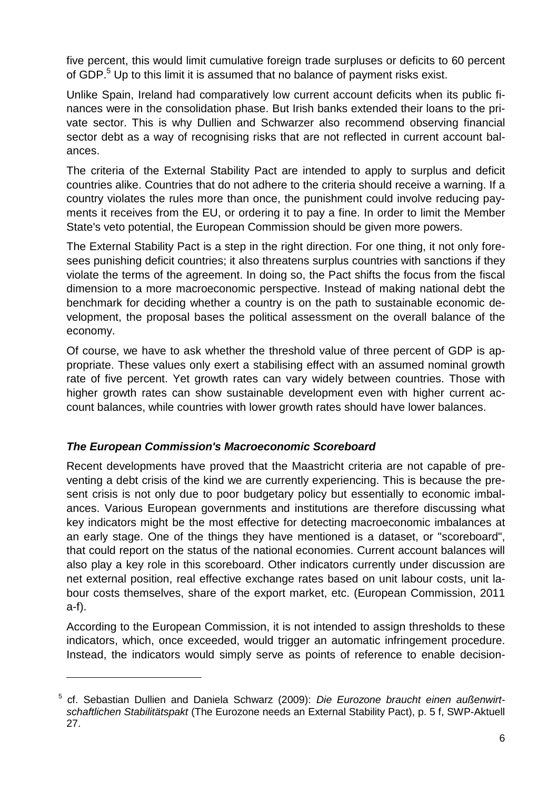five percent, this would limit cumulative foreign trade surpluses or deficits to 60 percent of GDP.<sup>[5](#page-5-0)</sup> Up to this limit it is assumed that no balance of payment risks exist.

Unlike Spain, Ireland had comparatively low current account deficits when its public finances were in the consolidation phase. But Irish banks extended their loans to the private sector. This is why Dullien and Schwarzer also recommend observing financial sector debt as a way of recognising risks that are not reflected in current account balances.

The criteria of the External Stability Pact are intended to apply to surplus and deficit countries alike. Countries that do not adhere to the criteria should receive a warning. If a country violates the rules more than once, the punishment could involve reducing payments it receives from the EU, or ordering it to pay a fine. In order to limit the Member State's veto potential, the European Commission should be given more powers.

The External Stability Pact is a step in the right direction. For one thing, it not only foresees punishing deficit countries; it also threatens surplus countries with sanctions if they violate the terms of the agreement. In doing so, the Pact shifts the focus from the fiscal dimension to a more macroeconomic perspective. Instead of making national debt the benchmark for deciding whether a country is on the path to sustainable economic development, the proposal bases the political assessment on the overall balance of the economy.

Of course, we have to ask whether the threshold value of three percent of GDP is appropriate. These values only exert a stabilising effect with an assumed nominal growth rate of five percent. Yet growth rates can vary widely between countries. Those with higher growth rates can show sustainable development even with higher current account balances, while countries with lower growth rates should have lower balances.

# *The European Commission's Macroeconomic Scoreboard*

Recent developments have proved that the Maastricht criteria are not capable of preventing a debt crisis of the kind we are currently experiencing. This is because the present crisis is not only due to poor budgetary policy but essentially to economic imbalances. Various European governments and institutions are therefore discussing what key indicators might be the most effective for detecting macroeconomic imbalances at an early stage. One of the things they have mentioned is a dataset, or "scoreboard", that could report on the status of the national economies. Current account balances will also play a key role in this scoreboard. Other indicators currently under discussion are net external position, real effective exchange rates based on unit labour costs, unit labour costs themselves, share of the export market, etc. (European Commission, 2011 a-f).

According to the European Commission, it is not intended to assign thresholds to these indicators, which, once exceeded, would trigger an automatic infringement procedure. Instead, the indicators would simply serve as points of reference to enable decision-

<span id="page-5-0"></span><sup>5</sup> cf. Sebastian Dullien and Daniela Schwarz (2009): *Die Eurozone braucht einen außenwirtschaftlichen Stabilitätspakt* (The Eurozone needs an External Stability Pact), p. 5 f, SWP-Aktuell 27.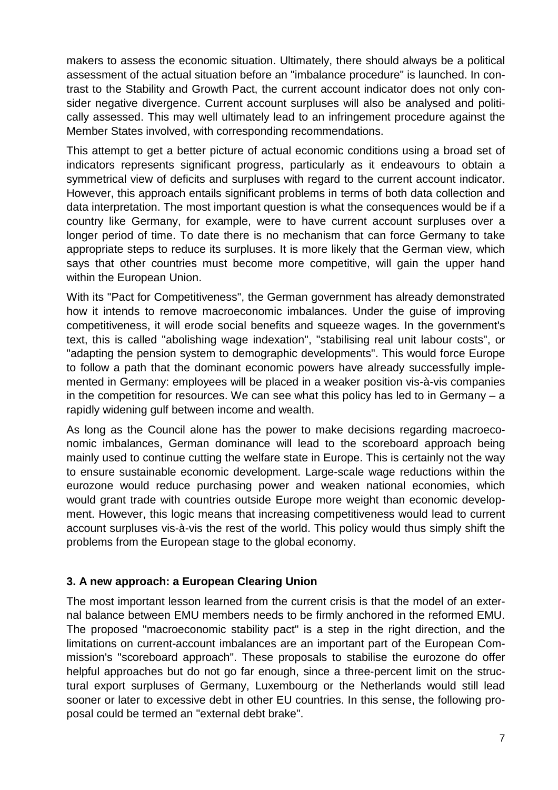makers to assess the economic situation. Ultimately, there should always be a political assessment of the actual situation before an "imbalance procedure" is launched. In contrast to the Stability and Growth Pact, the current account indicator does not only consider negative divergence. Current account surpluses will also be analysed and politically assessed. This may well ultimately lead to an infringement procedure against the Member States involved, with corresponding recommendations.

This attempt to get a better picture of actual economic conditions using a broad set of indicators represents significant progress, particularly as it endeavours to obtain a symmetrical view of deficits and surpluses with regard to the current account indicator. However, this approach entails significant problems in terms of both data collection and data interpretation. The most important question is what the consequences would be if a country like Germany, for example, were to have current account surpluses over a longer period of time. To date there is no mechanism that can force Germany to take appropriate steps to reduce its surpluses. It is more likely that the German view, which says that other countries must become more competitive, will gain the upper hand within the European Union.

With its "Pact for Competitiveness", the German government has already demonstrated how it intends to remove macroeconomic imbalances. Under the guise of improving competitiveness, it will erode social benefits and squeeze wages. In the government's text, this is called "abolishing wage indexation", "stabilising real unit labour costs", or "adapting the pension system to demographic developments". This would force Europe to follow a path that the dominant economic powers have already successfully implemented in Germany: employees will be placed in a weaker position vis-à-vis companies in the competition for resources. We can see what this policy has led to in Germany – a rapidly widening gulf between income and wealth.

As long as the Council alone has the power to make decisions regarding macroeconomic imbalances, German dominance will lead to the scoreboard approach being mainly used to continue cutting the welfare state in Europe. This is certainly not the way to ensure sustainable economic development. Large-scale wage reductions within the eurozone would reduce purchasing power and weaken national economies, which would grant trade with countries outside Europe more weight than economic development. However, this logic means that increasing competitiveness would lead to current account surpluses vis-à-vis the rest of the world. This policy would thus simply shift the problems from the European stage to the global economy.

## **3. A new approach: a European Clearing Union**

The most important lesson learned from the current crisis is that the model of an external balance between EMU members needs to be firmly anchored in the reformed EMU. The proposed "macroeconomic stability pact" is a step in the right direction, and the limitations on current-account imbalances are an important part of the European Commission's "scoreboard approach". These proposals to stabilise the eurozone do offer helpful approaches but do not go far enough, since a three-percent limit on the structural export surpluses of Germany, Luxembourg or the Netherlands would still lead sooner or later to excessive debt in other EU countries. In this sense, the following proposal could be termed an "external debt brake".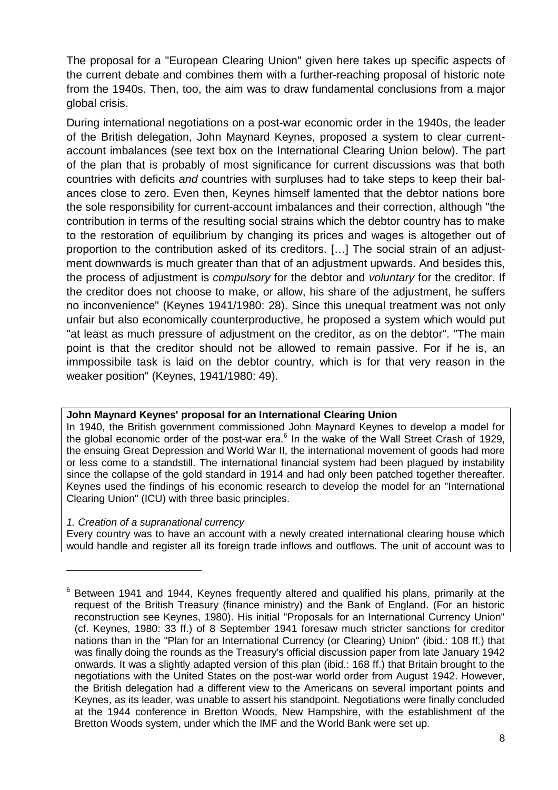The proposal for a "European Clearing Union" given here takes up specific aspects of the current debate and combines them with a further-reaching proposal of historic note from the 1940s. Then, too, the aim was to draw fundamental conclusions from a major global crisis.

During international negotiations on a post-war economic order in the 1940s, the leader of the British delegation, John Maynard Keynes, proposed a system to clear currentaccount imbalances (see text box on the International Clearing Union below). The part of the plan that is probably of most significance for current discussions was that both countries with deficits *and* countries with surpluses had to take steps to keep their balances close to zero. Even then, Keynes himself lamented that the debtor nations bore the sole responsibility for current-account imbalances and their correction, although "the contribution in terms of the resulting social strains which the debtor country has to make to the restoration of equilibrium by changing its prices and wages is altogether out of proportion to the contribution asked of its creditors. […] The social strain of an adjustment downwards is much greater than that of an adjustment upwards. And besides this, the process of adjustment is *compulsory* for the debtor and *voluntary* for the creditor. If the creditor does not choose to make, or allow, his share of the adjustment, he suffers no inconvenience" (Keynes 1941/1980: 28). Since this unequal treatment was not only unfair but also economically counterproductive, he proposed a system which would put "at least as much pressure of adjustment on the creditor, as on the debtor". "The main point is that the creditor should not be allowed to remain passive. For if he is, an immpossibile task is laid on the debtor country, which is for that very reason in the weaker position" (Keynes, 1941/1980: 49).

## **John Maynard Keynes' proposal for an International Clearing Union**

In 1940, the British government commissioned John Maynard Keynes to develop a model for theglobal economic order of the post-war era.<sup>6</sup> In the wake of the Wall Street Crash of 1929, the ensuing Great Depression and World War II, the international movement of goods had more or less come to a standstill. The international financial system had been plagued by instability since the collapse of the gold standard in 1914 and had only been patched together thereafter. Keynes used the findings of his economic research to develop the model for an "International Clearing Union" (ICU) with three basic principles.

### *1. Creation of a supranational currency*

Every country was to have an account with a newly created international clearing house which would handle and register all its foreign trade inflows and outflows. The unit of account was to

<span id="page-7-0"></span> $6$  Between 1941 and 1944, Kevnes frequently altered and qualified his plans, primarily at the request of the British Treasury (finance ministry) and the Bank of England. (For an historic reconstruction see Keynes, 1980). His initial "Proposals for an International Currency Union" (cf. Keynes, 1980: 33 ff.) of 8 September 1941 foresaw much stricter sanctions for creditor nations than in the "Plan for an International Currency (or Clearing) Union" (ibid.: 108 ff.) that was finally doing the rounds as the Treasury's official discussion paper from late January 1942 onwards. It was a slightly adapted version of this plan (ibid.: 168 ff.) that Britain brought to the negotiations with the United States on the post-war world order from August 1942. However, the British delegation had a different view to the Americans on several important points and Keynes, as its leader, was unable to assert his standpoint. Negotiations were finally concluded at the 1944 conference in Bretton Woods, New Hampshire, with the establishment of the Bretton Woods system, under which the IMF and the World Bank were set up.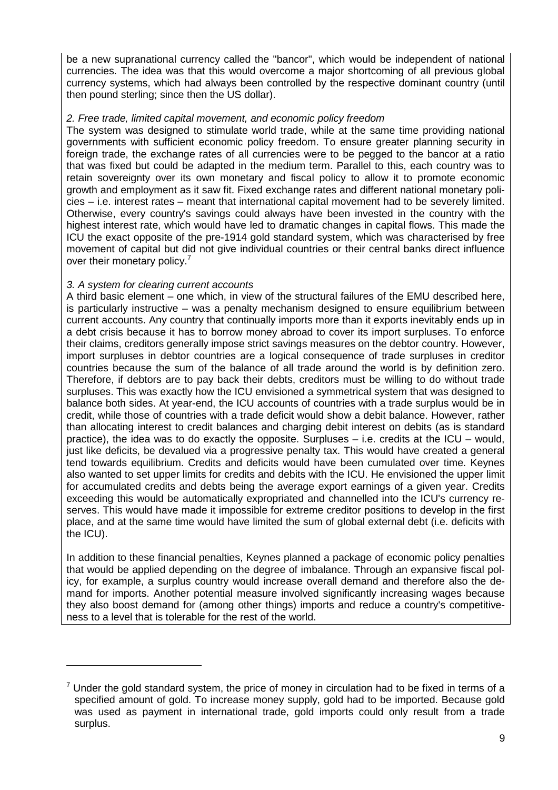be a new supranational currency called the "bancor", which would be independent of national currencies. The idea was that this would overcome a major shortcoming of all previous global currency systems, which had always been controlled by the respective dominant country (until then pound sterling; since then the US dollar).

### *2. Free trade, limited capital movement, and economic policy freedom*

The system was designed to stimulate world trade, while at the same time providing national governments with sufficient economic policy freedom. To ensure greater planning security in foreign trade, the exchange rates of all currencies were to be pegged to the bancor at a ratio that was fixed but could be adapted in the medium term. Parallel to this, each country was to retain sovereignty over its own monetary and fiscal policy to allow it to promote economic growth and employment as it saw fit. Fixed exchange rates and different national monetary policies – i.e. interest rates – meant that international capital movement had to be severely limited. Otherwise, every country's savings could always have been invested in the country with the highest interest rate, which would have led to dramatic changes in capital flows. This made the ICU the exact opposite of the pre-1914 gold standard system, which was characterised by free movement of capital but did not give individual countries or their central banks direct influence over their monetary policy.<sup>[7](#page-8-0)</sup>

### *3. A system for clearing current accounts*

A third basic element – one which, in view of the structural failures of the EMU described here, is particularly instructive – was a penalty mechanism designed to ensure equilibrium between current accounts. Any country that continually imports more than it exports inevitably ends up in a debt crisis because it has to borrow money abroad to cover its import surpluses. To enforce their claims, creditors generally impose strict savings measures on the debtor country. However, import surpluses in debtor countries are a logical consequence of trade surpluses in creditor countries because the sum of the balance of all trade around the world is by definition zero. Therefore, if debtors are to pay back their debts, creditors must be willing to do without trade surpluses. This was exactly how the ICU envisioned a symmetrical system that was designed to balance both sides. At year-end, the ICU accounts of countries with a trade surplus would be in credit, while those of countries with a trade deficit would show a debit balance. However, rather than allocating interest to credit balances and charging debit interest on debits (as is standard practice), the idea was to do exactly the opposite. Surpluses – i.e. credits at the ICU – would, just like deficits, be devalued via a progressive penalty tax. This would have created a general tend towards equilibrium. Credits and deficits would have been cumulated over time. Keynes also wanted to set upper limits for credits and debits with the ICU. He envisioned the upper limit for accumulated credits and debts being the average export earnings of a given year. Credits exceeding this would be automatically expropriated and channelled into the ICU's currency reserves. This would have made it impossible for extreme creditor positions to develop in the first place, and at the same time would have limited the sum of global external debt (i.e. deficits with the ICU).

In addition to these financial penalties, Keynes planned a package of economic policy penalties that would be applied depending on the degree of imbalance. Through an expansive fiscal policy, for example, a surplus country would increase overall demand and therefore also the demand for imports. Another potential measure involved significantly increasing wages because they also boost demand for (among other things) imports and reduce a country's competitiveness to a level that is tolerable for the rest of the world.

<span id="page-8-0"></span> $<sup>7</sup>$  Under the gold standard system, the price of money in circulation had to be fixed in terms of a</sup> specified amount of gold. To increase money supply, gold had to be imported. Because gold was used as payment in international trade, gold imports could only result from a trade surplus.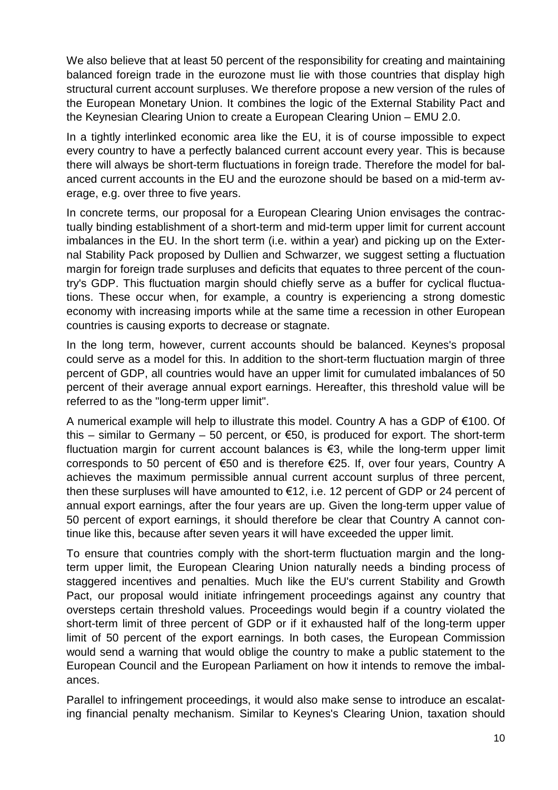We also believe that at least 50 percent of the responsibility for creating and maintaining balanced foreign trade in the eurozone must lie with those countries that display high structural current account surpluses. We therefore propose a new version of the rules of the European Monetary Union. It combines the logic of the External Stability Pact and the Keynesian Clearing Union to create a European Clearing Union – EMU 2.0.

In a tightly interlinked economic area like the EU, it is of course impossible to expect every country to have a perfectly balanced current account every year. This is because there will always be short-term fluctuations in foreign trade. Therefore the model for balanced current accounts in the EU and the eurozone should be based on a mid-term average, e.g. over three to five years.

In concrete terms, our proposal for a European Clearing Union envisages the contractually binding establishment of a short-term and mid-term upper limit for current account imbalances in the EU. In the short term (i.e. within a year) and picking up on the External Stability Pack proposed by Dullien and Schwarzer, we suggest setting a fluctuation margin for foreign trade surpluses and deficits that equates to three percent of the country's GDP. This fluctuation margin should chiefly serve as a buffer for cyclical fluctuations. These occur when, for example, a country is experiencing a strong domestic economy with increasing imports while at the same time a recession in other European countries is causing exports to decrease or stagnate.

In the long term, however, current accounts should be balanced. Keynes's proposal could serve as a model for this. In addition to the short-term fluctuation margin of three percent of GDP, all countries would have an upper limit for cumulated imbalances of 50 percent of their average annual export earnings. Hereafter, this threshold value will be referred to as the "long-term upper limit".

A numerical example will help to illustrate this model. Country A has a GDP of €100. Of this – similar to Germany – 50 percent, or  $\epsilon$ 50, is produced for export. The short-term fluctuation margin for current account balances is  $\epsilon$ 3, while the long-term upper limit corresponds to 50 percent of €50 and is therefore €25. If, over four years, Country A achieves the maximum permissible annual current account surplus of three percent, then these surpluses will have amounted to €12, i.e. 12 percent of GDP or 24 percent of annual export earnings, after the four years are up. Given the long-term upper value of 50 percent of export earnings, it should therefore be clear that Country A cannot continue like this, because after seven years it will have exceeded the upper limit.

To ensure that countries comply with the short-term fluctuation margin and the longterm upper limit, the European Clearing Union naturally needs a binding process of staggered incentives and penalties. Much like the EU's current Stability and Growth Pact, our proposal would initiate infringement proceedings against any country that oversteps certain threshold values. Proceedings would begin if a country violated the short-term limit of three percent of GDP or if it exhausted half of the long-term upper limit of 50 percent of the export earnings. In both cases, the European Commission would send a warning that would oblige the country to make a public statement to the European Council and the European Parliament on how it intends to remove the imbalances.

Parallel to infringement proceedings, it would also make sense to introduce an escalating financial penalty mechanism. Similar to Keynes's Clearing Union, taxation should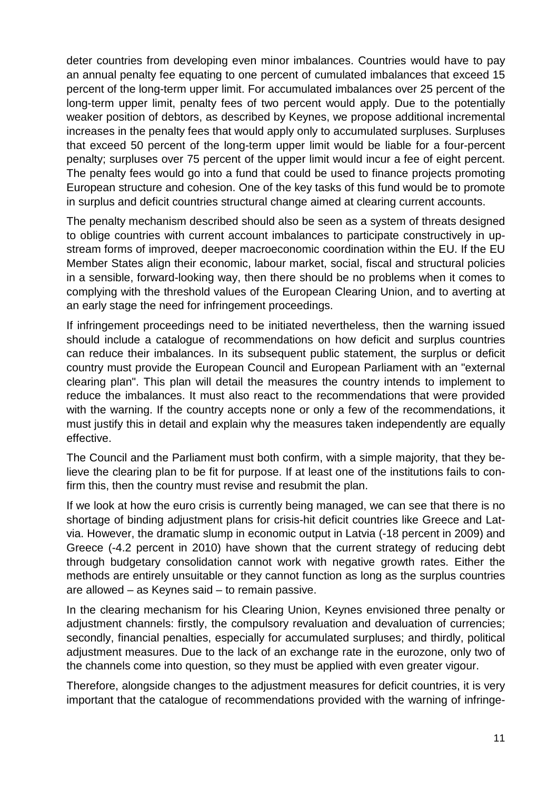deter countries from developing even minor imbalances. Countries would have to pay an annual penalty fee equating to one percent of cumulated imbalances that exceed 15 percent of the long-term upper limit. For accumulated imbalances over 25 percent of the long-term upper limit, penalty fees of two percent would apply. Due to the potentially weaker position of debtors, as described by Keynes, we propose additional incremental increases in the penalty fees that would apply only to accumulated surpluses. Surpluses that exceed 50 percent of the long-term upper limit would be liable for a four-percent penalty; surpluses over 75 percent of the upper limit would incur a fee of eight percent. The penalty fees would go into a fund that could be used to finance projects promoting European structure and cohesion. One of the key tasks of this fund would be to promote in surplus and deficit countries structural change aimed at clearing current accounts.

The penalty mechanism described should also be seen as a system of threats designed to oblige countries with current account imbalances to participate constructively in upstream forms of improved, deeper macroeconomic coordination within the EU. If the EU Member States align their economic, labour market, social, fiscal and structural policies in a sensible, forward-looking way, then there should be no problems when it comes to complying with the threshold values of the European Clearing Union, and to averting at an early stage the need for infringement proceedings.

If infringement proceedings need to be initiated nevertheless, then the warning issued should include a catalogue of recommendations on how deficit and surplus countries can reduce their imbalances. In its subsequent public statement, the surplus or deficit country must provide the European Council and European Parliament with an "external clearing plan". This plan will detail the measures the country intends to implement to reduce the imbalances. It must also react to the recommendations that were provided with the warning. If the country accepts none or only a few of the recommendations, it must justify this in detail and explain why the measures taken independently are equally effective.

The Council and the Parliament must both confirm, with a simple majority, that they believe the clearing plan to be fit for purpose. If at least one of the institutions fails to confirm this, then the country must revise and resubmit the plan.

If we look at how the euro crisis is currently being managed, we can see that there is no shortage of binding adjustment plans for crisis-hit deficit countries like Greece and Latvia. However, the dramatic slump in economic output in Latvia (-18 percent in 2009) and Greece (-4.2 percent in 2010) have shown that the current strategy of reducing debt through budgetary consolidation cannot work with negative growth rates. Either the methods are entirely unsuitable or they cannot function as long as the surplus countries are allowed – as Keynes said – to remain passive.

In the clearing mechanism for his Clearing Union, Keynes envisioned three penalty or adjustment channels: firstly, the compulsory revaluation and devaluation of currencies; secondly, financial penalties, especially for accumulated surpluses; and thirdly, political adjustment measures. Due to the lack of an exchange rate in the eurozone, only two of the channels come into question, so they must be applied with even greater vigour.

Therefore, alongside changes to the adjustment measures for deficit countries, it is very important that the catalogue of recommendations provided with the warning of infringe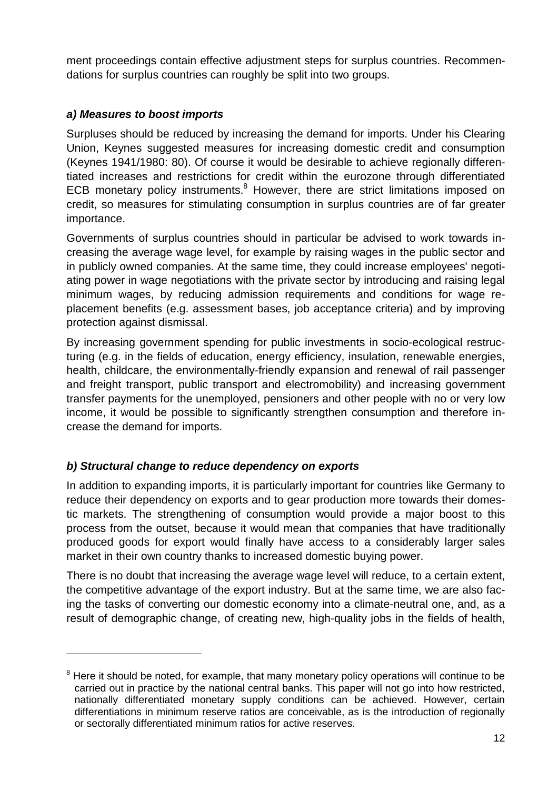ment proceedings contain effective adjustment steps for surplus countries. Recommendations for surplus countries can roughly be split into two groups.

## *a) Measures to boost imports*

Surpluses should be reduced by increasing the demand for imports. Under his Clearing Union, Keynes suggested measures for increasing domestic credit and consumption (Keynes 1941/1980: 80). Of course it would be desirable to achieve regionally differentiated increases and restrictions for credit within the eurozone through differentiated ECB monetary policy instruments.<sup>[8](#page-11-0)</sup> However, there are strict limitations imposed on credit, so measures for stimulating consumption in surplus countries are of far greater importance.

Governments of surplus countries should in particular be advised to work towards increasing the average wage level, for example by raising wages in the public sector and in publicly owned companies. At the same time, they could increase employees' negotiating power in wage negotiations with the private sector by introducing and raising legal minimum wages, by reducing admission requirements and conditions for wage replacement benefits (e.g. assessment bases, job acceptance criteria) and by improving protection against dismissal.

By increasing government spending for public investments in socio-ecological restructuring (e.g. in the fields of education, energy efficiency, insulation, renewable energies, health, childcare, the environmentally-friendly expansion and renewal of rail passenger and freight transport, public transport and electromobility) and increasing government transfer payments for the unemployed, pensioners and other people with no or very low income, it would be possible to significantly strengthen consumption and therefore increase the demand for imports.

# *b) Structural change to reduce dependency on exports*

In addition to expanding imports, it is particularly important for countries like Germany to reduce their dependency on exports and to gear production more towards their domestic markets. The strengthening of consumption would provide a major boost to this process from the outset, because it would mean that companies that have traditionally produced goods for export would finally have access to a considerably larger sales market in their own country thanks to increased domestic buying power.

There is no doubt that increasing the average wage level will reduce, to a certain extent, the competitive advantage of the export industry. But at the same time, we are also facing the tasks of converting our domestic economy into a climate-neutral one, and, as a result of demographic change, of creating new, high-quality jobs in the fields of health,

<span id="page-11-0"></span> $8$  Here it should be noted, for example, that many monetary policy operations will continue to be carried out in practice by the national central banks. This paper will not go into how restricted, nationally differentiated monetary supply conditions can be achieved. However, certain differentiations in minimum reserve ratios are conceivable, as is the introduction of regionally or sectorally differentiated minimum ratios for active reserves.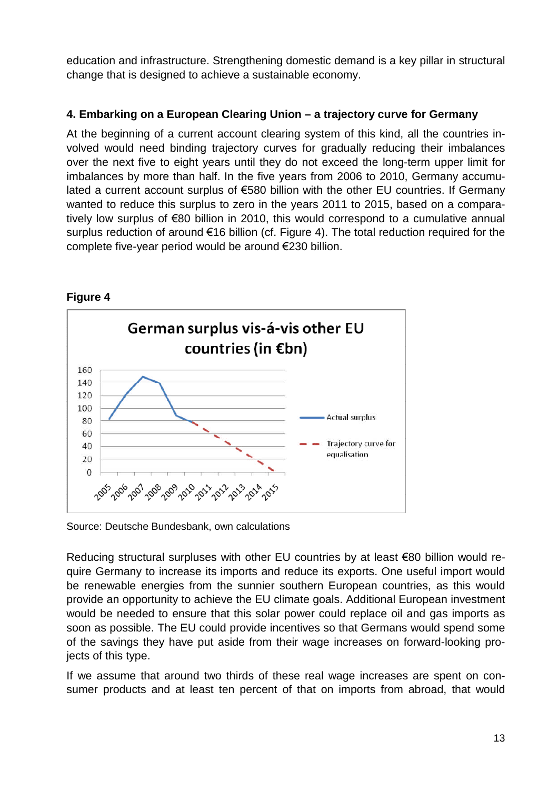education and infrastructure. Strengthening domestic demand is a key pillar in structural change that is designed to achieve a sustainable economy.

## **4. Embarking on a European Clearing Union – a trajectory curve for Germany**

At the beginning of a current account clearing system of this kind, all the countries involved would need binding trajectory curves for gradually reducing their imbalances over the next five to eight years until they do not exceed the long-term upper limit for imbalances by more than half. In the five years from 2006 to 2010, Germany accumulated a current account surplus of €580 billion with the other EU countries. If Germany wanted to reduce this surplus to zero in the years 2011 to 2015, based on a comparatively low surplus of €80 billion in 2010, this would correspond to a cumulative annual surplus reduction of around €16 billion (cf. Figure 4). The total reduction required for the complete five-year period would be around €230 billion.



**Figure 4**

Source: Deutsche Bundesbank, own calculations

Reducing structural surpluses with other EU countries by at least €80 billion would require Germany to increase its imports and reduce its exports. One useful import would be renewable energies from the sunnier southern European countries, as this would provide an opportunity to achieve the EU climate goals. Additional European investment would be needed to ensure that this solar power could replace oil and gas imports as soon as possible. The EU could provide incentives so that Germans would spend some of the savings they have put aside from their wage increases on forward-looking projects of this type.

If we assume that around two thirds of these real wage increases are spent on consumer products and at least ten percent of that on imports from abroad, that would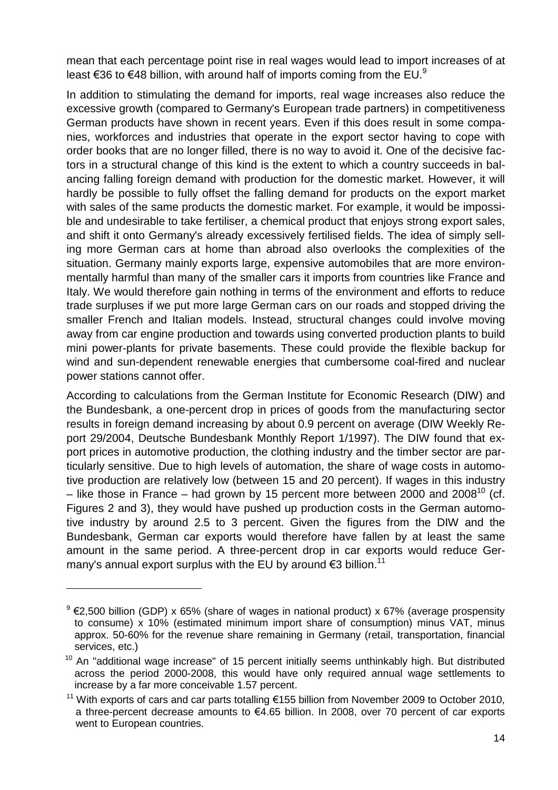mean that each percentage point rise in real wages would lead to import increases of at least $\epsilon$ 36 to  $\epsilon$ 48 billion, with around half of imports coming from the EU.<sup>9</sup>

In addition to stimulating the demand for imports, real wage increases also reduce the excessive growth (compared to Germany's European trade partners) in competitiveness German products have shown in recent years. Even if this does result in some companies, workforces and industries that operate in the export sector having to cope with order books that are no longer filled, there is no way to avoid it. One of the decisive factors in a structural change of this kind is the extent to which a country succeeds in balancing falling foreign demand with production for the domestic market. However, it will hardly be possible to fully offset the falling demand for products on the export market with sales of the same products the domestic market. For example, it would be impossible and undesirable to take fertiliser, a chemical product that enjoys strong export sales, and shift it onto Germany's already excessively fertilised fields. The idea of simply selling more German cars at home than abroad also overlooks the complexities of the situation. Germany mainly exports large, expensive automobiles that are more environmentally harmful than many of the smaller cars it imports from countries like France and Italy. We would therefore gain nothing in terms of the environment and efforts to reduce trade surpluses if we put more large German cars on our roads and stopped driving the smaller French and Italian models. Instead, structural changes could involve moving away from car engine production and towards using converted production plants to build mini power-plants for private basements. These could provide the flexible backup for wind and sun-dependent renewable energies that cumbersome coal-fired and nuclear power stations cannot offer.

According to calculations from the German Institute for Economic Research (DIW) and the Bundesbank, a one-percent drop in prices of goods from the manufacturing sector results in foreign demand increasing by about 0.9 percent on average (DIW Weekly Report 29/2004, Deutsche Bundesbank Monthly Report 1/1997). The DIW found that export prices in automotive production, the clothing industry and the timber sector are particularly sensitive. Due to high levels of automation, the share of wage costs in automotive production are relatively low (between 15 and 20 percent). If wages in this industry – like those in France – had grown by 15 percent more between 2000 and 2008<sup>[10](#page-13-1)</sup> (cf. Figures 2 and 3), they would have pushed up production costs in the German automotive industry by around 2.5 to 3 percent. Given the figures from the DIW and the Bundesbank, German car exports would therefore have fallen by at least the same amount in the same period. A three-percent drop in car exports would reduce Germany's annual export surplus with the EU by around  $\epsilon$ 3 billion.<sup>[11](#page-13-2)</sup>

<span id="page-13-0"></span><sup>&</sup>lt;sup>9</sup> €2,500 billion (GDP) x 65% (share of wages in national product) x 67% (average prospensity to consume) x 10% (estimated minimum import share of consumption) minus VAT, minus approx. 50-60% for the revenue share remaining in Germany (retail, transportation, financial services, etc.)

<span id="page-13-1"></span> $10$  An "additional wage increase" of 15 percent initially seems unthinkably high. But distributed across the period 2000-2008, this would have only required annual wage settlements to increase by a far more conceivable 1.57 percent.

<span id="page-13-2"></span><sup>&</sup>lt;sup>11</sup> With exports of cars and car parts totalling €155 billion from November 2009 to October 2010, a three-percent decrease amounts to €4.65 billion. In 2008, over 70 percent of car exports went to European countries.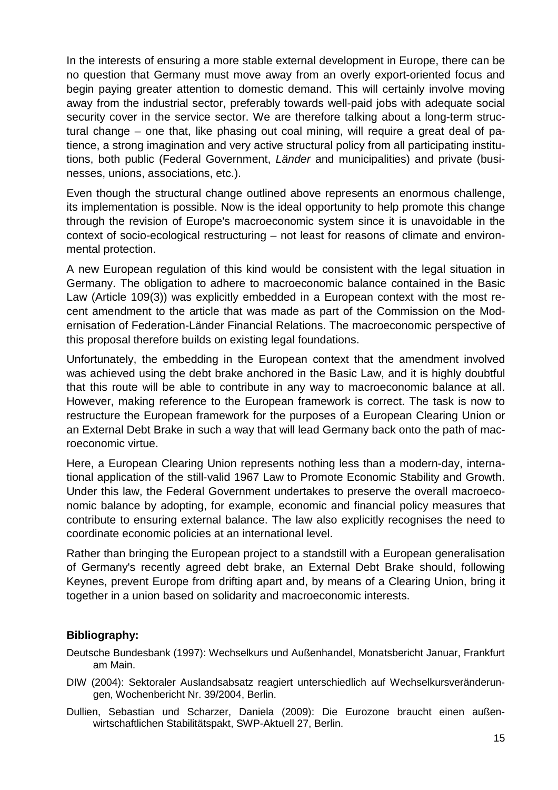In the interests of ensuring a more stable external development in Europe, there can be no question that Germany must move away from an overly export-oriented focus and begin paying greater attention to domestic demand. This will certainly involve moving away from the industrial sector, preferably towards well-paid jobs with adequate social security cover in the service sector. We are therefore talking about a long-term structural change – one that, like phasing out coal mining, will require a great deal of patience, a strong imagination and very active structural policy from all participating institutions, both public (Federal Government, *Länder* and municipalities) and private (businesses, unions, associations, etc.).

Even though the structural change outlined above represents an enormous challenge, its implementation is possible. Now is the ideal opportunity to help promote this change through the revision of Europe's macroeconomic system since it is unavoidable in the context of socio-ecological restructuring – not least for reasons of climate and environmental protection.

A new European regulation of this kind would be consistent with the legal situation in Germany. The obligation to adhere to macroeconomic balance contained in the Basic Law (Article 109(3)) was explicitly embedded in a European context with the most recent amendment to the article that was made as part of the Commission on the Modernisation of Federation-Länder Financial Relations. The macroeconomic perspective of this proposal therefore builds on existing legal foundations.

Unfortunately, the embedding in the European context that the amendment involved was achieved using the debt brake anchored in the Basic Law, and it is highly doubtful that this route will be able to contribute in any way to macroeconomic balance at all. However, making reference to the European framework is correct. The task is now to restructure the European framework for the purposes of a European Clearing Union or an External Debt Brake in such a way that will lead Germany back onto the path of macroeconomic virtue.

Here, a European Clearing Union represents nothing less than a modern-day, international application of the still-valid 1967 Law to Promote Economic Stability and Growth. Under this law, the Federal Government undertakes to preserve the overall macroeconomic balance by adopting, for example, economic and financial policy measures that contribute to ensuring external balance. The law also explicitly recognises the need to coordinate economic policies at an international level.

Rather than bringing the European project to a standstill with a European generalisation of Germany's recently agreed debt brake, an External Debt Brake should, following Keynes, prevent Europe from drifting apart and, by means of a Clearing Union, bring it together in a union based on solidarity and macroeconomic interests.

## **Bibliography:**

- Deutsche Bundesbank (1997): Wechselkurs und Außenhandel, Monatsbericht Januar, Frankfurt am Main.
- DIW (2004): Sektoraler Auslandsabsatz reagiert unterschiedlich auf Wechselkursveränderungen, Wochenbericht Nr. 39/2004, Berlin.
- Dullien, Sebastian und Scharzer, Daniela (2009): Die Eurozone braucht einen außenwirtschaftlichen Stabilitätspakt, SWP-Aktuell 27, Berlin.